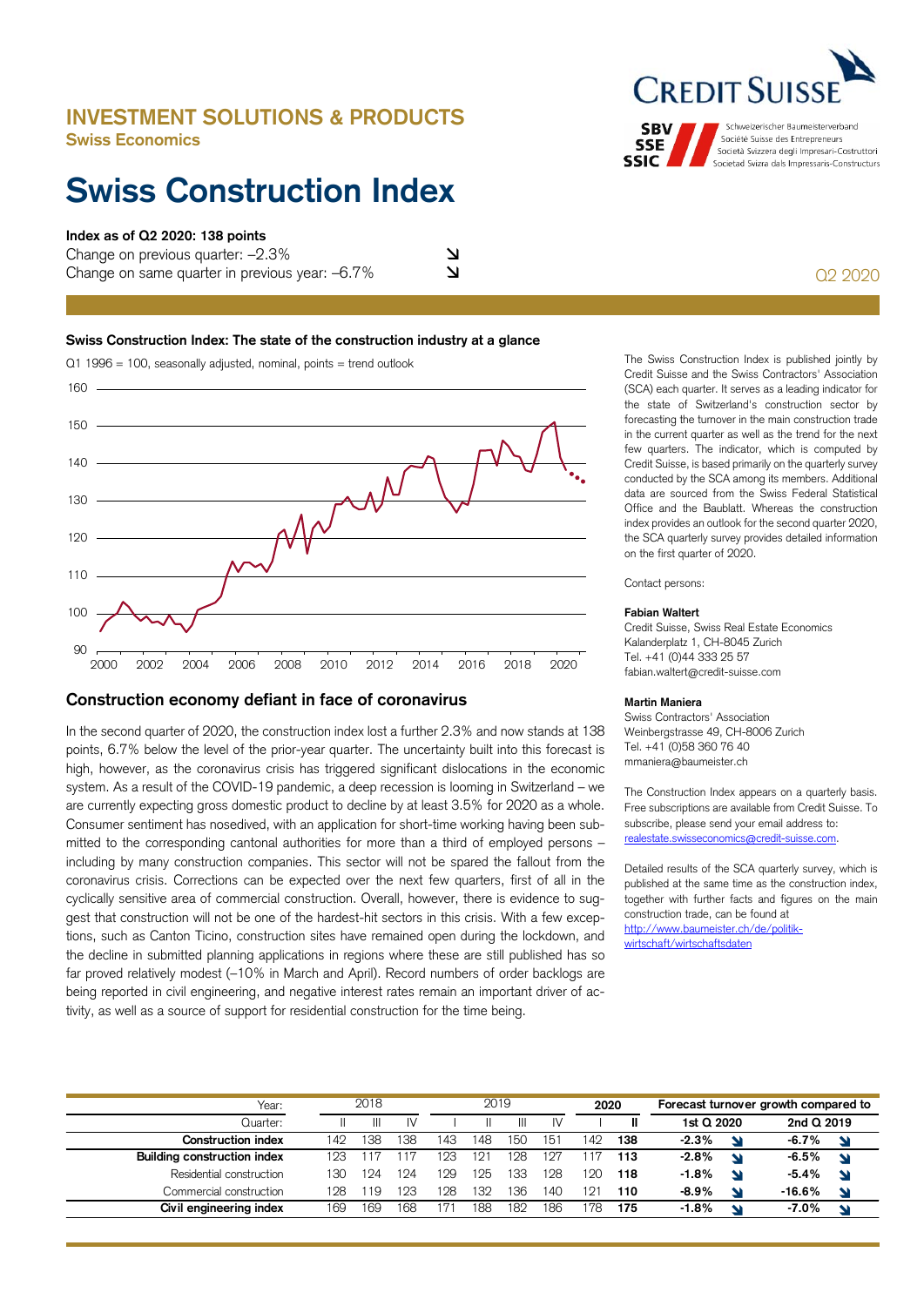# **INVESTMENT SOLUTIONS & PRODUCTS Swiss Economics**

# **Swiss Construction Index**

# **Index as of Q2 2020: 138 points**

Change on previous quarter: –2.3% Change on same quarter in previous year:  $-6.7\%$   $\square$ 

# **Swiss Construction Index: The state of the construction industry at a glance**



# **Construction economy defiant in face of coronavirus**

In the second quarter of 2020, the construction index lost a further 2.3% and now stands at 138 points, 6.7% below the level of the prior-year quarter. The uncertainty built into this forecast is high, however, as the coronavirus crisis has triggered significant dislocations in the economic system. As a result of the COVID-19 pandemic, a deep recession is looming in Switzerland – we are currently expecting gross domestic product to decline by at least 3.5% for 2020 as a whole. Consumer sentiment has nosedived, with an application for short-time working having been submitted to the corresponding cantonal authorities for more than a third of employed persons – including by many construction companies. This sector will not be spared the fallout from the coronavirus crisis. Corrections can be expected over the next few quarters, first of all in the cyclically sensitive area of commercial construction. Overall, however, there is evidence to suggest that construction will not be one of the hardest-hit sectors in this crisis. With a few exceptions, such as Canton Ticino, construction sites have remained open during the lockdown, and the decline in submitted planning applications in regions where these are still published has so far proved relatively modest (–10% in March and April). Record numbers of order backlogs are being reported in civil engineering, and negative interest rates remain an important driver of activity, as well as a source of support for residential construction for the time being.

The Swiss Construction Index is published jointly by Credit Suisse and the Swiss Contractors' Association (SCA) each quarter. It serves as a leading indicator for the state of Switzerland's construction sector by forecasting the turnover in the main construction trade in the current quarter as well as the trend for the next few quarters. The indicator, which is computed by Credit Suisse, is based primarily on the quarterly survey conducted by the SCA among its members. Additional data are sourced from the Swiss Federal Statistical Office and the Baublatt. Whereas the construction index provides an outlook for the second quarter 2020, the SCA quarterly survey provides detailed information on the first quarter of 2020.

Contact persons:

## **Fabian Waltert**

Credit Suisse, Swiss Real Estate Economics Kalanderplatz 1, CH-8045 Zurich Tel. +41 (0)44 333 25 57 fabian.waltert@credit-suisse.com

# **Martin Maniera**

Swiss Contractors' Association Weinbergstrasse 49, CH-8006 Zurich Tel. +41 (0)58 360 76 40 mmaniera@baumeister.ch

The Construction Index appears on a quarterly basis. Free subscriptions are available from Credit Suisse. To subscribe, please send your email address to: realestate.swisseconomics@credit-suisse.com.

Detailed results of the SCA quarterly survey, which is published at the same time as the construction index, together with further facts and figures on the main construction trade, can be found at http://www.baumeister.ch/de/politikwirtschaft/wirtschaftsdaten

| Year:                       | 2018 |     |    | 2019 |     |     |                 | 2020 |     | Forecast turnover growth compared to |                          |            |  |
|-----------------------------|------|-----|----|------|-----|-----|-----------------|------|-----|--------------------------------------|--------------------------|------------|--|
| Quarter:                    |      | Ш   | IV |      |     |     |                 |      |     | 1st Q 2020                           |                          | 2nd Q 2019 |  |
| <b>Construction index</b>   | 142  | .38 | 38 | 143  | 148 | 150 | 15 <sup>1</sup> | 42   | 138 | $-2.3%$                              | $\overline{\phantom{a}}$ | $-6.7\%$   |  |
| Building construction index | 193  |     |    | 123  | 121 | 128 | 127             |      | 113 | $-2.8%$                              | $\overline{\phantom{a}}$ | $-6.5%$    |  |
| Residential construction    | 130  | 124 | 24 | 129  | 25  | 133 | 128             | ' 20 | 118 | $-1.8%$                              | $\overline{\phantom{a}}$ | $-5.4\%$   |  |
| Commercial construction     | 128  | 19  | 23 | 128  | 32  | 136 | 140             | 21   | 110 | $-8.9\%$                             | $\blacktriangle$         | $-16.6%$   |  |
| Civil engineering index     | 169  | 169 | 68 |      | 88  | 182 | 186             | 78   | 175 | $-1.8%$                              | N                        | $-7.0\%$   |  |



Schweizerischer Baumeisterverband **SBV** Société Suisse des Entrepreneurs **SSE** Società Svizzera degli Impresari-Costruttori **SSIC** Societad Svizra dals Impressaris-Constructurs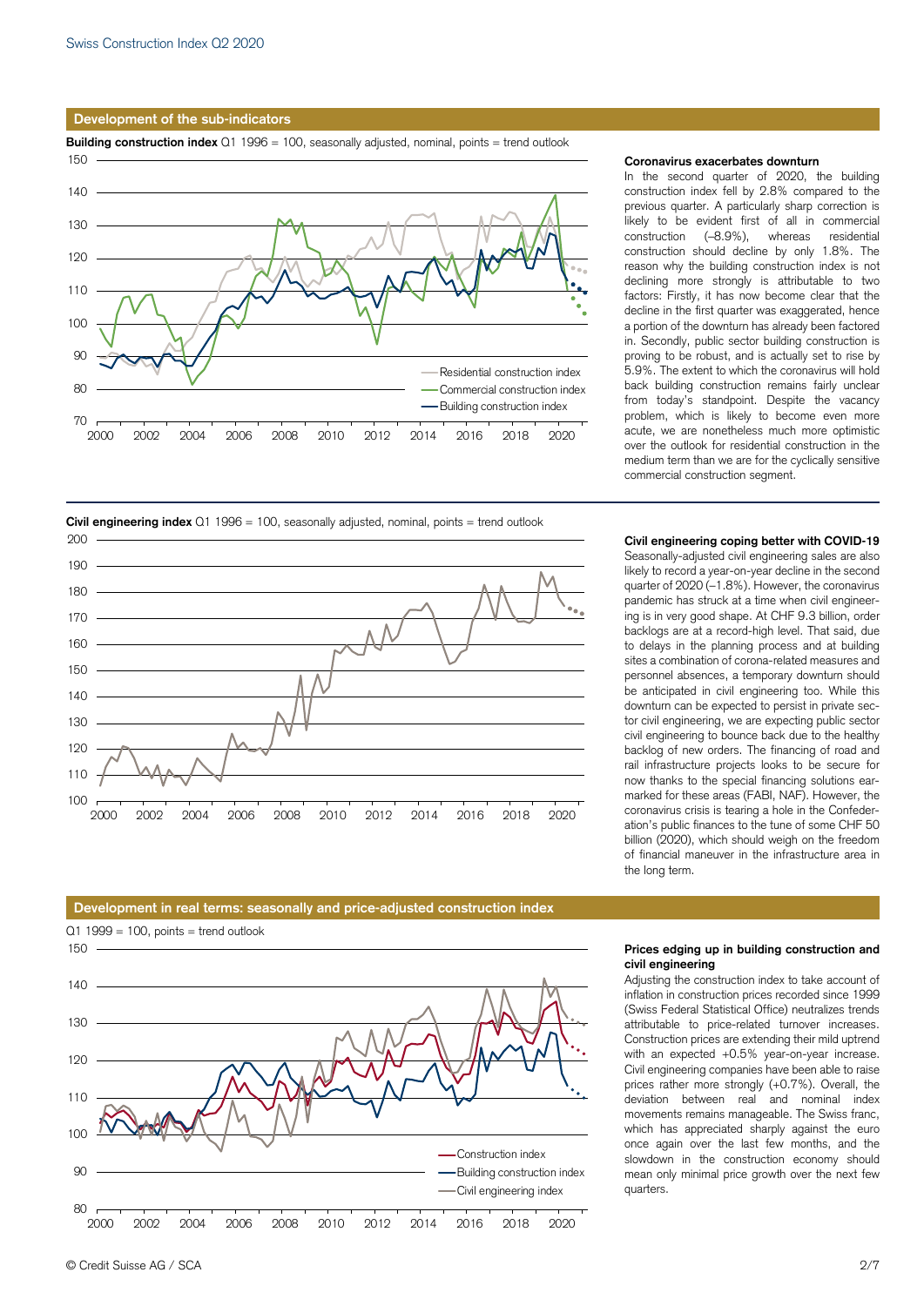## **Development of the sub-indicators**

**Building construction index** Q1 1996 = 100, seasonally adjusted, nominal, points = trend outlook



## **Coronavirus exacerbates downturn**

In the second quarter of 2020, the building construction index fell by 2.8% compared to the previous quarter. A particularly sharp correction is likely to be evident first of all in commercial construction (–8.9%), whereas residential construction should decline by only 1.8%. The reason why the building construction index is not declining more strongly is attributable to two factors: Firstly, it has now become clear that the decline in the first quarter was exaggerated, hence a portion of the downturn has already been factored in. Secondly, public sector building construction is proving to be robust, and is actually set to rise by 5.9%. The extent to which the coronavirus will hold back building construction remains fairly unclear from today's standpoint. Despite the vacancy problem, which is likely to become even more acute, we are nonetheless much more optimistic over the outlook for residential construction in the medium term than we are for the cyclically sensitive commercial construction segment.





### **Civil engineering coping better with COVID-19**

Seasonally-adjusted civil engineering sales are also likely to record a year-on-year decline in the second quarter of 2020 (–1.8%). However, the coronavirus pandemic has struck at a time when civil engineering is in very good shape. At CHF 9.3 billion, order backlogs are at a record-high level. That said, due to delays in the planning process and at building sites a combination of corona-related measures and personnel absences, a temporary downturn should be anticipated in civil engineering too. While this downturn can be expected to persist in private sector civil engineering, we are expecting public sector civil engineering to bounce back due to the healthy backlog of new orders. The financing of road and rail infrastructure projects looks to be secure for now thanks to the special financing solutions earmarked for these areas (FABI, NAF). However, the coronavirus crisis is tearing a hole in the Confederation's public finances to the tune of some CHF 50 billion (2020), which should weigh on the freedom of financial maneuver in the infrastructure area in the long term.

# **Development in real terms: seasonally and price-adjusted construction index**



### **Prices edging up in building construction and civil engineering**

Adjusting the construction index to take account of inflation in construction prices recorded since 1999 (Swiss Federal Statistical Office) neutralizes trends attributable to price-related turnover increases. Construction prices are extending their mild uptrend with an expected +0.5% year-on-year increase. Civil engineering companies have been able to raise prices rather more strongly (+0.7%). Overall, the deviation between real and nominal index movements remains manageable. The Swiss franc, which has appreciated sharply against the euro once again over the last few months, and the slowdown in the construction economy should mean only minimal price growth over the next few quarters.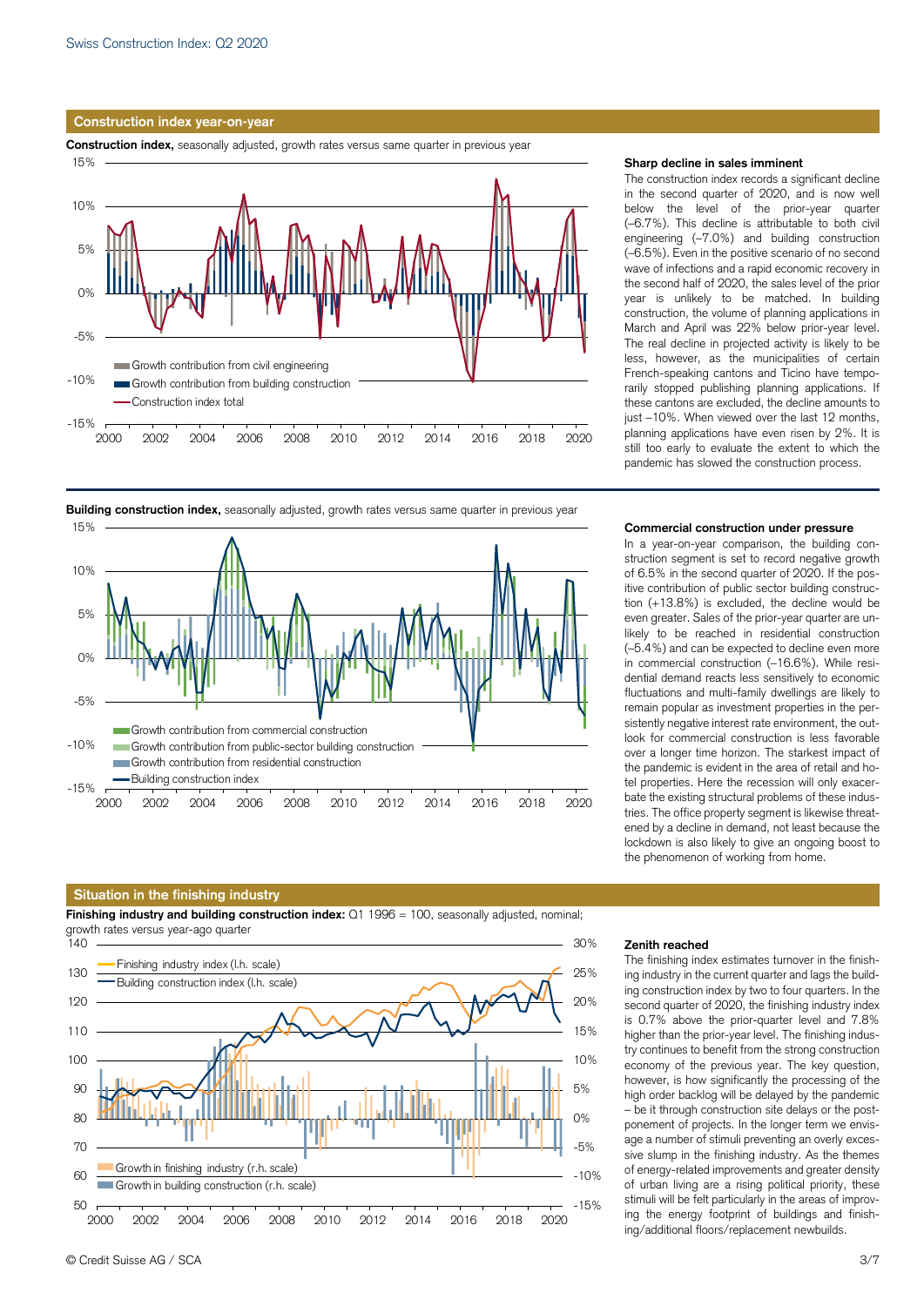## **Construction index year-on-year**

**Construction index,** seasonally adjusted, growth rates versus same quarter in previous year





## **Building construction index,** seasonally adjusted, growth rates versus same quarter in previous year

## **Situation in the finishing industry**

**Finishing industry and building construction index:** Q1 1996 = 100, seasonally adjusted, nominal; growth rates versus year-ago quarter



## **Sharp decline in sales imminent**

The construction index records a significant decline in the second quarter of 2020, and is now well below the level of the prior-year quarter (–6.7%). This decline is attributable to both civil engineering (–7.0%) and building construction (–6.5%). Even in the positive scenario of no second wave of infections and a rapid economic recovery in the second half of 2020, the sales level of the prior year is unlikely to be matched. In building construction, the volume of planning applications in March and April was 22% below prior-year level. The real decline in projected activity is likely to be less, however, as the municipalities of certain French-speaking cantons and Ticino have temporarily stopped publishing planning applications. If these cantons are excluded, the decline amounts to just  $-10\%$ . When viewed over the last 12 months, planning applications have even risen by 2%. It is still too early to evaluate the extent to which the pandemic has slowed the construction process.

#### **Commercial construction under pressure**

In a year-on-year comparison, the building construction segment is set to record negative growth of 6.5% in the second quarter of 2020. If the positive contribution of public sector building construction (+13.8%) is excluded, the decline would be even greater. Sales of the prior-year quarter are unlikely to be reached in residential construction (–5.4%) and can be expected to decline even more in commercial construction (–16.6%). While residential demand reacts less sensitively to economic fluctuations and multi-family dwellings are likely to remain popular as investment properties in the persistently negative interest rate environment, the outlook for commercial construction is less favorable over a longer time horizon. The starkest impact of the pandemic is evident in the area of retail and hotel properties. Here the recession will only exacerbate the existing structural problems of these industries. The office property segment is likewise threatened by a decline in demand, not least because the lockdown is also likely to give an ongoing boost to the phenomenon of working from home.

#### **Zenith reached**

The finishing index estimates turnover in the finishing industry in the current quarter and lags the building construction index by two to four quarters. In the second quarter of 2020, the finishing industry index is 0.7% above the prior-quarter level and 7.8% higher than the prior-year level. The finishing industry continues to benefit from the strong construction economy of the previous year. The key question, however, is how significantly the processing of the high order backlog will be delayed by the pandemic – be it through construction site delays or the postponement of projects. In the longer term we envisage a number of stimuli preventing an overly excessive slump in the finishing industry. As the themes of energy-related improvements and greater density of urban living are a rising political priority, these stimuli will be felt particularly in the areas of improving the energy footprint of buildings and finishing/additional floors/replacement newbuilds.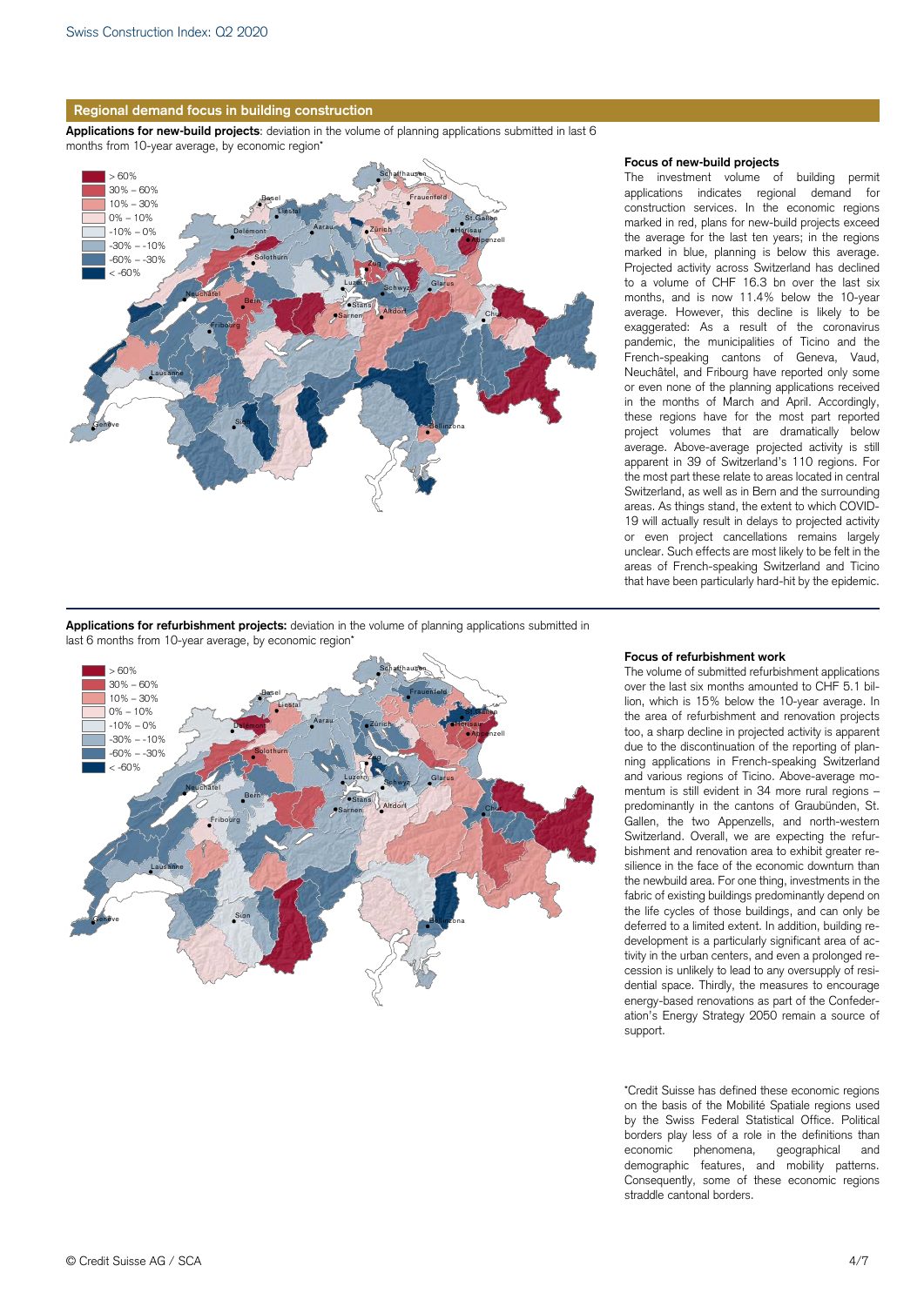

**Applications for new-build projects**: deviation in the volume of planning applications submitted in last 6 months from 10-year average, by economic region\*



### **Focus of new-build projects**

The investment volume of building permit applications indicates regional demand for construction services. In the economic regions marked in red, plans for new-build projects exceed the average for the last ten years; in the regions marked in blue, planning is below this average. Projected activity across Switzerland has declined to a volume of CHF 16.3 bn over the last six months, and is now 11.4% below the 10-year average. However, this decline is likely to be exaggerated: As a result of the coronavirus pandemic, the municipalities of Ticino and the French-speaking cantons of Geneva, Vaud, Neuchâtel, and Fribourg have reported only some or even none of the planning applications received in the months of March and April. Accordingly, these regions have for the most part reported project volumes that are dramatically below average. Above-average projected activity is still apparent in 39 of Switzerland's 110 regions. For the most part these relate to areas located in central Switzerland, as well as in Bern and the surrounding areas. As things stand, the extent to which COVID-19 will actually result in delays to projected activity or even project cancellations remains largely unclear. Such effects are most likely to be felt in the areas of French-speaking Switzerland and Ticino that have been particularly hard-hit by the epidemic.

**Applications for refurbishment projects:** deviation in the volume of planning applications submitted in last 6 months from 10-year average, by economic region\*



#### **Focus of refurbishment work**

The volume of submitted refurbishment applications over the last six months amounted to CHF 5.1 billion, which is 15% below the 10-year average. In the area of refurbishment and renovation projects too, a sharp decline in projected activity is apparent due to the discontinuation of the reporting of planning applications in French-speaking Switzerland and various regions of Ticino. Above-average momentum is still evident in 34 more rural regions – predominantly in the cantons of Graubünden, St. Gallen, the two Appenzells, and north-western Switzerland. Overall, we are expecting the refurbishment and renovation area to exhibit greater resilience in the face of the economic downturn than the newbuild area. For one thing, investments in the fabric of existing buildings predominantly depend on the life cycles of those buildings, and can only be deferred to a limited extent. In addition, building redevelopment is a particularly significant area of activity in the urban centers, and even a prolonged recession is unlikely to lead to any oversupply of residential space. Thirdly, the measures to encourage energy-based renovations as part of the Confederation's Energy Strategy 2050 remain a source of support.

\*Credit Suisse has defined these economic regions on the basis of the Mobilité Spatiale regions used by the Swiss Federal Statistical Office. Political borders play less of a role in the definitions than economic phenomena, geographical and demographic features, and mobility patterns. Consequently, some of these economic regions straddle cantonal borders.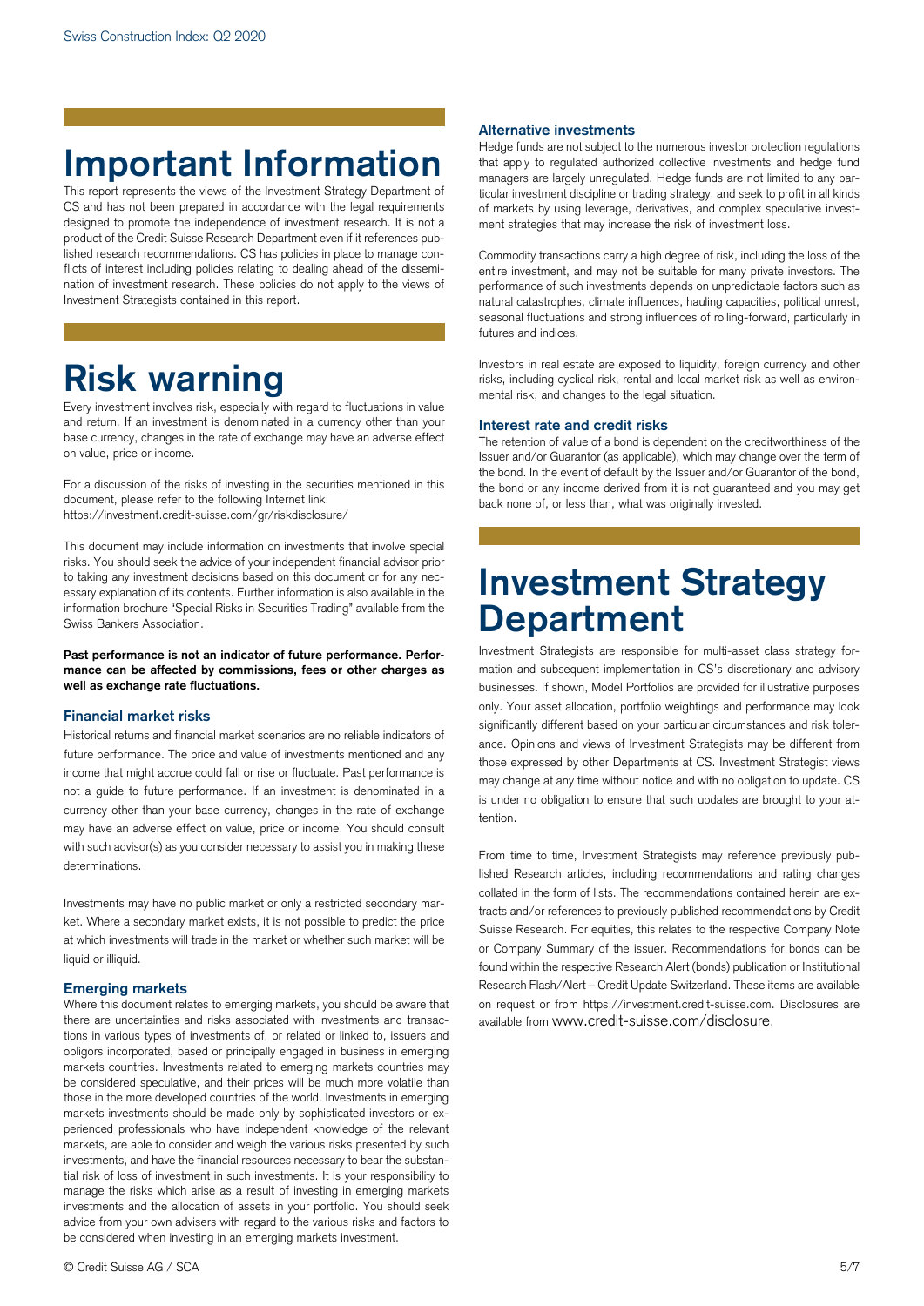# **Important Information**

This report represents the views of the Investment Strategy Department of CS and has not been prepared in accordance with the legal requirements designed to promote the independence of investment research. It is not a product of the Credit Suisse Research Department even if it references published research recommendations. CS has policies in place to manage conflicts of interest including policies relating to dealing ahead of the dissemination of investment research. These policies do not apply to the views of Investment Strategists contained in this report.

# **Risk warning**

Every investment involves risk, especially with regard to fluctuations in value and return. If an investment is denominated in a currency other than your base currency, changes in the rate of exchange may have an adverse effect on value, price or income.

For a discussion of the risks of investing in the securities mentioned in this document, please refer to the following Internet link: https://investment.credit-suisse.com/gr/riskdisclosure/

This document may include information on investments that involve special risks. You should seek the advice of your independent financial advisor prior to taking any investment decisions based on this document or for any necessary explanation of its contents. Further information is also available in the information brochure "Special Risks in Securities Trading" available from the Swiss Bankers Association.

**Past performance is not an indicator of future performance. Performance can be affected by commissions, fees or other charges as well as exchange rate fluctuations.** 

# **Financial market risks**

Historical returns and financial market scenarios are no reliable indicators of future performance. The price and value of investments mentioned and any income that might accrue could fall or rise or fluctuate. Past performance is not a guide to future performance. If an investment is denominated in a currency other than your base currency, changes in the rate of exchange may have an adverse effect on value, price or income. You should consult with such advisor(s) as you consider necessary to assist you in making these determinations.

Investments may have no public market or only a restricted secondary market. Where a secondary market exists, it is not possible to predict the price at which investments will trade in the market or whether such market will be liquid or illiquid.

# **Emerging markets**

Where this document relates to emerging markets, you should be aware that there are uncertainties and risks associated with investments and transactions in various types of investments of, or related or linked to, issuers and obligors incorporated, based or principally engaged in business in emerging markets countries. Investments related to emerging markets countries may be considered speculative, and their prices will be much more volatile than those in the more developed countries of the world. Investments in emerging markets investments should be made only by sophisticated investors or experienced professionals who have independent knowledge of the relevant markets, are able to consider and weigh the various risks presented by such investments, and have the financial resources necessary to bear the substantial risk of loss of investment in such investments. It is your responsibility to manage the risks which arise as a result of investing in emerging markets investments and the allocation of assets in your portfolio. You should seek advice from your own advisers with regard to the various risks and factors to be considered when investing in an emerging markets investment.

# **Alternative investments**

Hedge funds are not subject to the numerous investor protection regulations that apply to regulated authorized collective investments and hedge fund managers are largely unregulated. Hedge funds are not limited to any particular investment discipline or trading strategy, and seek to profit in all kinds of markets by using leverage, derivatives, and complex speculative investment strategies that may increase the risk of investment loss.

Commodity transactions carry a high degree of risk, including the loss of the entire investment, and may not be suitable for many private investors. The performance of such investments depends on unpredictable factors such as natural catastrophes, climate influences, hauling capacities, political unrest, seasonal fluctuations and strong influences of rolling-forward, particularly in futures and indices.

Investors in real estate are exposed to liquidity, foreign currency and other risks, including cyclical risk, rental and local market risk as well as environmental risk, and changes to the legal situation.

## **Interest rate and credit risks**

The retention of value of a bond is dependent on the creditworthiness of the Issuer and/or Guarantor (as applicable), which may change over the term of the bond. In the event of default by the Issuer and/or Guarantor of the bond, the bond or any income derived from it is not guaranteed and you may get back none of, or less than, what was originally invested.

# **Investment Strategy Department**

Investment Strategists are responsible for multi-asset class strategy formation and subsequent implementation in CS's discretionary and advisory businesses. If shown, Model Portfolios are provided for illustrative purposes only. Your asset allocation, portfolio weightings and performance may look significantly different based on your particular circumstances and risk tolerance. Opinions and views of Investment Strategists may be different from those expressed by other Departments at CS. Investment Strategist views may change at any time without notice and with no obligation to update. CS is under no obligation to ensure that such updates are brought to your attention.

From time to time, Investment Strategists may reference previously published Research articles, including recommendations and rating changes collated in the form of lists. The recommendations contained herein are extracts and/or references to previously published recommendations by Credit Suisse Research. For equities, this relates to the respective Company Note or Company Summary of the issuer. Recommendations for bonds can be found within the respective Research Alert (bonds) publication or Institutional Research Flash/Alert – Credit Update Switzerland. These items are available on request or from https://investment.credit-suisse.com. Disclosures are available from www.credit-suisse.com/disclosure.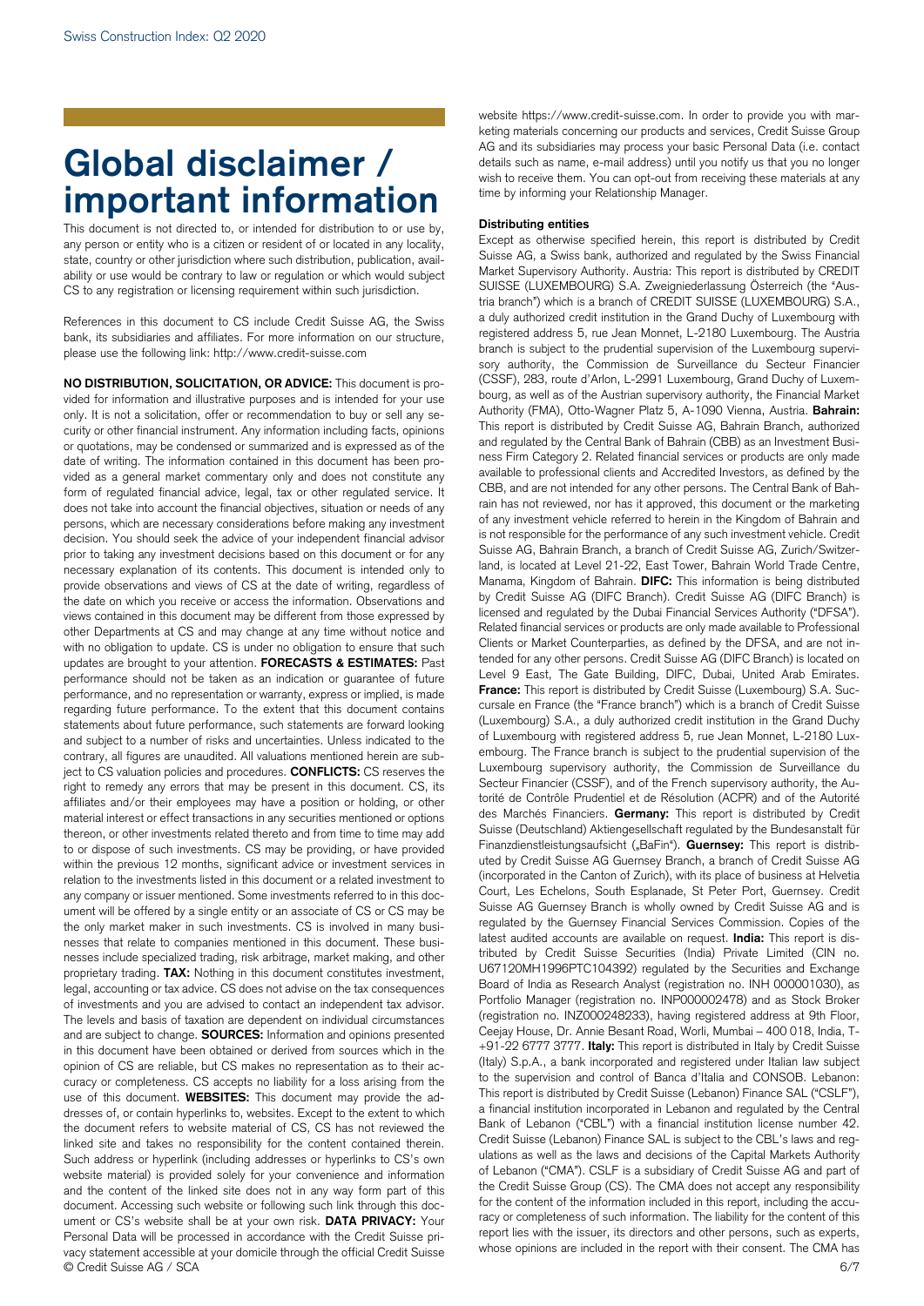# **Global disclaimer / important information**

This document is not directed to, or intended for distribution to or use by, any person or entity who is a citizen or resident of or located in any locality, state, country or other jurisdiction where such distribution, publication, availability or use would be contrary to law or regulation or which would subject CS to any registration or licensing requirement within such jurisdiction.

References in this document to CS include Credit Suisse AG, the Swiss bank, its subsidiaries and affiliates. For more information on our structure, please use the following link: http://www.credit-suisse.com

© Credit Suisse AG / SCA 6/7 **NO DISTRIBUTION, SOLICITATION, OR ADVICE:** This document is provided for information and illustrative purposes and is intended for your use only. It is not a solicitation, offer or recommendation to buy or sell any security or other financial instrument. Any information including facts, opinions or quotations, may be condensed or summarized and is expressed as of the date of writing. The information contained in this document has been provided as a general market commentary only and does not constitute any form of regulated financial advice, legal, tax or other regulated service. It does not take into account the financial objectives, situation or needs of any persons, which are necessary considerations before making any investment decision. You should seek the advice of your independent financial advisor prior to taking any investment decisions based on this document or for any necessary explanation of its contents. This document is intended only to provide observations and views of CS at the date of writing, regardless of the date on which you receive or access the information. Observations and views contained in this document may be different from those expressed by other Departments at CS and may change at any time without notice and with no obligation to update. CS is under no obligation to ensure that such updates are brought to your attention. **FORECASTS & ESTIMATES:** Past performance should not be taken as an indication or guarantee of future performance, and no representation or warranty, express or implied, is made regarding future performance. To the extent that this document contains statements about future performance, such statements are forward looking and subject to a number of risks and uncertainties. Unless indicated to the contrary, all figures are unaudited. All valuations mentioned herein are subject to CS valuation policies and procedures. **CONFLICTS:** CS reserves the right to remedy any errors that may be present in this document. CS, its affiliates and/or their employees may have a position or holding, or other material interest or effect transactions in any securities mentioned or options thereon, or other investments related thereto and from time to time may add to or dispose of such investments. CS may be providing, or have provided within the previous 12 months, significant advice or investment services in relation to the investments listed in this document or a related investment to any company or issuer mentioned. Some investments referred to in this document will be offered by a single entity or an associate of CS or CS may be the only market maker in such investments. CS is involved in many businesses that relate to companies mentioned in this document. These businesses include specialized trading, risk arbitrage, market making, and other proprietary trading. **TAX:** Nothing in this document constitutes investment, legal, accounting or tax advice. CS does not advise on the tax consequences of investments and you are advised to contact an independent tax advisor. The levels and basis of taxation are dependent on individual circumstances and are subject to change. **SOURCES:** Information and opinions presented in this document have been obtained or derived from sources which in the opinion of CS are reliable, but CS makes no representation as to their accuracy or completeness. CS accepts no liability for a loss arising from the use of this document. **WEBSITES:** This document may provide the addresses of, or contain hyperlinks to, websites. Except to the extent to which the document refers to website material of CS, CS has not reviewed the linked site and takes no responsibility for the content contained therein. Such address or hyperlink (including addresses or hyperlinks to CS's own website material) is provided solely for your convenience and information and the content of the linked site does not in any way form part of this document. Accessing such website or following such link through this document or CS's website shall be at your own risk. **DATA PRIVACY:** Your Personal Data will be processed in accordance with the Credit Suisse privacy statement accessible at your domicile through the official Credit Suisse

website https://www.credit-suisse.com. In order to provide you with marketing materials concerning our products and services, Credit Suisse Group AG and its subsidiaries may process your basic Personal Data (i.e. contact details such as name, e-mail address) until you notify us that you no longer wish to receive them. You can opt-out from receiving these materials at any time by informing your Relationship Manager.

# **Distributing entities**

Except as otherwise specified herein, this report is distributed by Credit Suisse AG, a Swiss bank, authorized and regulated by the Swiss Financial Market Supervisory Authority. Austria: This report is distributed by CREDIT SUISSE (LUXEMBOURG) S.A. Zweigniederlassung Österreich (the "Austria branch") which is a branch of CREDIT SUISSE (LUXEMBOURG) S.A., a duly authorized credit institution in the Grand Duchy of Luxembourg with registered address 5, rue Jean Monnet, L-2180 Luxembourg. The Austria branch is subject to the prudential supervision of the Luxembourg supervisory authority, the Commission de Surveillance du Secteur Financier (CSSF), 283, route d'Arlon, L-2991 Luxembourg, Grand Duchy of Luxembourg, as well as of the Austrian supervisory authority, the Financial Market Authority (FMA), Otto-Wagner Platz 5, A-1090 Vienna, Austria. **Bahrain:** This report is distributed by Credit Suisse AG, Bahrain Branch, authorized and regulated by the Central Bank of Bahrain (CBB) as an Investment Business Firm Category 2. Related financial services or products are only made available to professional clients and Accredited Investors, as defined by the CBB, and are not intended for any other persons. The Central Bank of Bahrain has not reviewed, nor has it approved, this document or the marketing of any investment vehicle referred to herein in the Kingdom of Bahrain and is not responsible for the performance of any such investment vehicle. Credit Suisse AG, Bahrain Branch, a branch of Credit Suisse AG, Zurich/Switzerland, is located at Level 21-22, East Tower, Bahrain World Trade Centre, Manama, Kingdom of Bahrain. **DIFC:** This information is being distributed by Credit Suisse AG (DIFC Branch). Credit Suisse AG (DIFC Branch) is licensed and regulated by the Dubai Financial Services Authority ("DFSA"). Related financial services or products are only made available to Professional Clients or Market Counterparties, as defined by the DFSA, and are not intended for any other persons. Credit Suisse AG (DIFC Branch) is located on Level 9 East, The Gate Building, DIFC, Dubai, United Arab Emirates. **France:** This report is distributed by Credit Suisse (Luxembourg) S.A. Succursale en France (the "France branch") which is a branch of Credit Suisse (Luxembourg) S.A., a duly authorized credit institution in the Grand Duchy of Luxembourg with registered address 5, rue Jean Monnet, L-2180 Luxembourg. The France branch is subject to the prudential supervision of the Luxembourg supervisory authority, the Commission de Surveillance du Secteur Financier (CSSF), and of the French supervisory authority, the Autorité de Contrôle Prudentiel et de Résolution (ACPR) and of the Autorité des Marchés Financiers. **Germany:** This report is distributed by Credit Suisse (Deutschland) Aktiengesellschaft regulated by the Bundesanstalt für Finanzdienstleistungsaufsicht ("BaFin"). **Guernsey:** This report is distributed by Credit Suisse AG Guernsey Branch, a branch of Credit Suisse AG (incorporated in the Canton of Zurich), with its place of business at Helvetia Court, Les Echelons, South Esplanade, St Peter Port, Guernsey. Credit Suisse AG Guernsey Branch is wholly owned by Credit Suisse AG and is regulated by the Guernsey Financial Services Commission. Copies of the latest audited accounts are available on request. **India:** This report is distributed by Credit Suisse Securities (India) Private Limited (CIN no. U67120MH1996PTC104392) regulated by the Securities and Exchange Board of India as Research Analyst (registration no. INH 000001030), as Portfolio Manager (registration no. INP000002478) and as Stock Broker (registration no. INZ000248233), having registered address at 9th Floor, Ceejay House, Dr. Annie Besant Road, Worli, Mumbai – 400 018, India, T- +91-22 6777 3777. **Italy:** This report is distributed in Italy by Credit Suisse (Italy) S.p.A., a bank incorporated and registered under Italian law subject to the supervision and control of Banca d'Italia and CONSOB. Lebanon: This report is distributed by Credit Suisse (Lebanon) Finance SAL ("CSLF"), a financial institution incorporated in Lebanon and regulated by the Central Bank of Lebanon ("CBL") with a financial institution license number 42. Credit Suisse (Lebanon) Finance SAL is subject to the CBL's laws and regulations as well as the laws and decisions of the Capital Markets Authority of Lebanon ("CMA"). CSLF is a subsidiary of Credit Suisse AG and part of the Credit Suisse Group (CS). The CMA does not accept any responsibility for the content of the information included in this report, including the accuracy or completeness of such information. The liability for the content of this report lies with the issuer, its directors and other persons, such as experts, whose opinions are included in the report with their consent. The CMA has